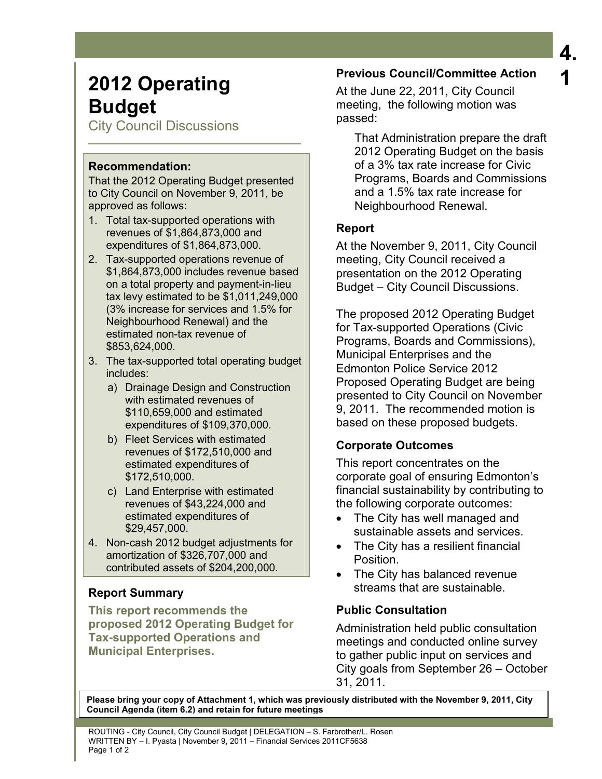# **4. 1**

# **2012 Operating Budget**

City Council Discussions

### **Recommendation:**

That the 2012 Operating Budget presented to City Council on November 9, 2011, be approved as follows:

- 1. Total tax-supported operations with revenues of \$1,864,873,000 and expenditures of \$1,864,873,000.
- 2. Tax-supported operations revenue of \$1,864,873,000 includes revenue based on a total property and payment-in-lieu tax levy estimated to be \$1,011,249,000 (3% increase for services and 1.5% for Neighbourhood Renewal) and the estimated non-tax revenue of \$853,624,000.
- 3. The tax-supported total operating budget includes:
	- a) Drainage Design and Construction with estimated revenues of \$110,659,000 and estimated expenditures of \$109,370,000.
	- b) Fleet Services with estimated revenues of \$172,510,000 and estimated expenditures of \$172,510,000.
	- c) Land Enterprise with estimated revenues of \$43,224,000 and estimated expenditures of \$29,457,000.
- 4. Non-cash 2012 budget adjustments for amortization of \$326,707,000 and contributed assets of \$204,200,000.

# **Report Summary**

**This report recommends the proposed 2012 Operating Budget for Tax-supported Operations and Municipal Enterprises.** 

## **Previous Council/Committee Action**

At the June 22, 2011, City Council meeting, the following motion was passed:

 That Administration prepare the draft 2012 Operating Budget on the basis of a 3% tax rate increase for Civic Programs, Boards and Commissions and a 1.5% tax rate increase for Neighbourhood Renewal.

## **Report**

At the November 9, 2011, City Council meeting, City Council received a presentation on the 2012 Operating Budget – City Council Discussions.

The proposed 2012 Operating Budget for Tax-supported Operations (Civic Programs, Boards and Commissions), Municipal Enterprises and the Edmonton Police Service 2012 Proposed Operating Budget are being presented to City Council on November 9, 2011. The recommended motion is based on these proposed budgets.

# **Corporate Outcomes**

This report concentrates on the corporate goal of ensuring Edmonton's financial sustainability by contributing to the following corporate outcomes:

- The City has well managed and sustainable assets and services.
- The City has a resilient financial Position.
- The City has balanced revenue streams that are sustainable.

## **Public Consultation**

Administration held public consultation meetings and conducted online survey to gather public input on services and City goals from September 26 – October 31, 2011.

**Please bring your copy of Attachment 1, which was previously distributed with the November 9, 2011, City Council Agenda (item 6.2) and retain for future meetings**